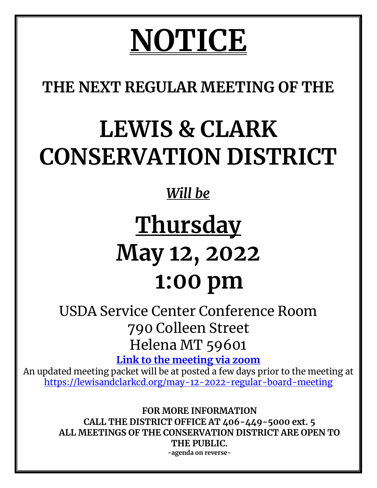# **NOTICE**

**THE NEXT REGULAR MEETING OF THE**

## **LEWIS & CLARK CONSERVATION DISTRICT**

### *Will be*

### **Thursday May 12, 2022 1:00 pm**

USDA Service Center Conference Room 790 Colleen Street Helena MT 59601

**Link to the meeting via zoom** 

An updated meeting packet will be at posted a few days prior to the meeting at https://lewisandclarkcd.org/may-12-2022-regular-board-meeting

> **FOR MORE INFORMATION CALL THE DISTRICT OFFICE AT 406-449-5000 ext. 5 ALL MEETINGS OF THE CONSERVATION DISTRICT ARE OPEN TO THE PUBLIC. -agenda on reverse-**